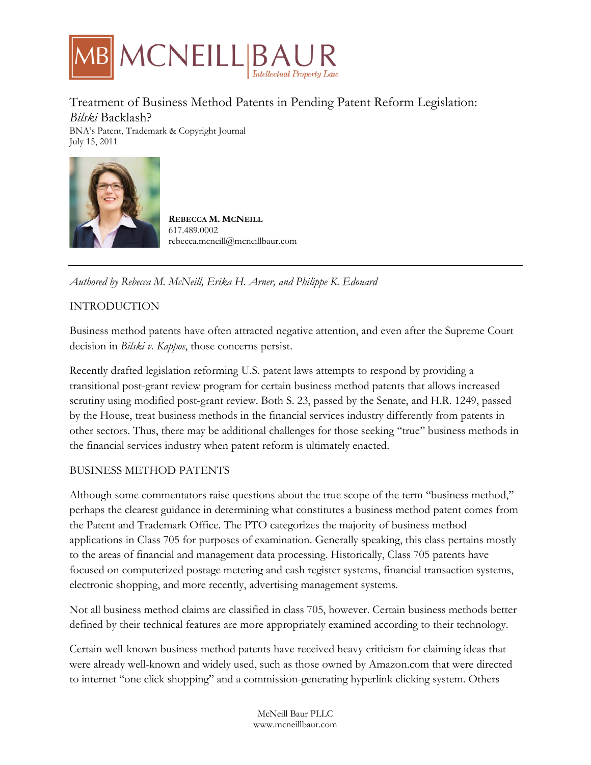

Treatment of Business Method Patents in Pending Patent Reform Legislation: *Bilski* Backlash?

BNA's Patent, Trademark & Copyright Journal July 15, 2011



**REBECCA M. MCNEILL** 617.489.0002 rebecca.mcneill@mcneillbaur.com

*Authored by Rebecca M. McNeill, Erika H. Arner, and Philippe K. Edouard*

# INTRODUCTION

Business method patents have often attracted negative attention, and even after the Supreme Court decision in *Bilski v. Kappos*, those concerns persist.

Recently drafted legislation reforming U.S. patent laws attempts to respond by providing a transitional post-grant review program for certain business method patents that allows increased scrutiny using modified post-grant review. Both S. 23, passed by the Senate, and H.R. 1249, passed by the House, treat business methods in the financial services industry differently from patents in other sectors. Thus, there may be additional challenges for those seeking ''true'' business methods in the financial services industry when patent reform is ultimately enacted.

# BUSINESS METHOD PATENTS

Although some commentators raise questions about the true scope of the term ''business method,'' perhaps the clearest guidance in determining what constitutes a business method patent comes from the Patent and Trademark Office. The PTO categorizes the majority of business method applications in Class 705 for purposes of examination. Generally speaking, this class pertains mostly to the areas of financial and management data processing. Historically, Class 705 patents have focused on computerized postage metering and cash register systems, financial transaction systems, electronic shopping, and more recently, advertising management systems.

Not all business method claims are classified in class 705, however. Certain business methods better defined by their technical features are more appropriately examined according to their technology.

Certain well-known business method patents have received heavy criticism for claiming ideas that were already well-known and widely used, such as those owned by Amazon.com that were directed to internet ''one click shopping'' and a commission-generating hyperlink clicking system. Others

> McNeill Baur PLLC www.mcneillbaur.com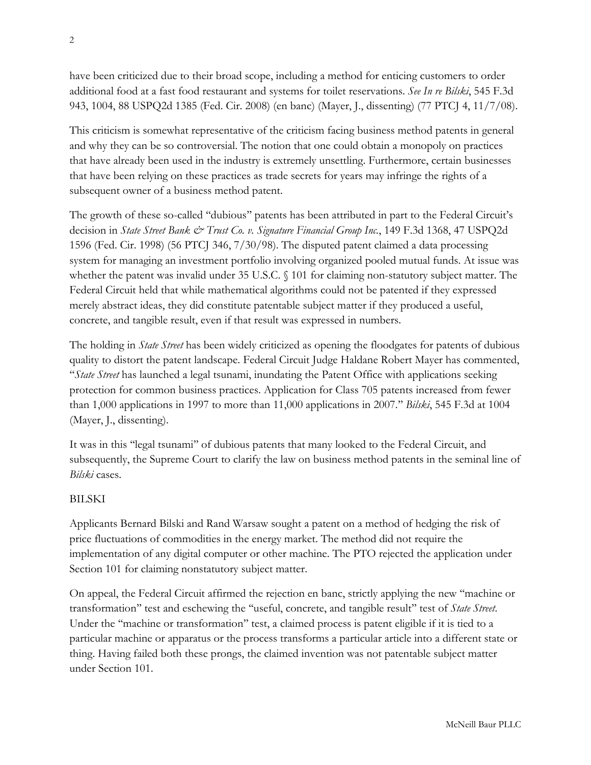have been criticized due to their broad scope, including a method for enticing customers to order additional food at a fast food restaurant and systems for toilet reservations. *See In re Bilski*, 545 F.3d 943, 1004, 88 USPQ2d 1385 (Fed. Cir. 2008) (en banc) (Mayer, J., dissenting) (77 PTCJ 4, 11/7/08).

This criticism is somewhat representative of the criticism facing business method patents in general and why they can be so controversial. The notion that one could obtain a monopoly on practices that have already been used in the industry is extremely unsettling. Furthermore, certain businesses that have been relying on these practices as trade secrets for years may infringe the rights of a subsequent owner of a business method patent.

The growth of these so-called ''dubious'' patents has been attributed in part to the Federal Circuit's decision in *State Street Bank & Trust Co. v. Signature Financial Group Inc.*, 149 F.3d 1368, 47 USPQ2d 1596 (Fed. Cir. 1998) (56 PTCJ 346, 7/30/98). The disputed patent claimed a data processing system for managing an investment portfolio involving organized pooled mutual funds. At issue was whether the patent was invalid under 35 U.S.C. § 101 for claiming non-statutory subject matter. The Federal Circuit held that while mathematical algorithms could not be patented if they expressed merely abstract ideas, they did constitute patentable subject matter if they produced a useful, concrete, and tangible result, even if that result was expressed in numbers.

The holding in *State Street* has been widely criticized as opening the floodgates for patents of dubious quality to distort the patent landscape. Federal Circuit Judge Haldane Robert Mayer has commented, "State Street has launched a legal tsunami, inundating the Patent Office with applications seeking protection for common business practices. Application for Class 705 patents increased from fewer than 1,000 applications in 1997 to more than 11,000 applications in 2007.'' *Bilski*, 545 F.3d at 1004 (Mayer, J., dissenting).

It was in this ''legal tsunami'' of dubious patents that many looked to the Federal Circuit, and subsequently, the Supreme Court to clarify the law on business method patents in the seminal line of *Bilski* cases.

# BILSKI

Applicants Bernard Bilski and Rand Warsaw sought a patent on a method of hedging the risk of price fluctuations of commodities in the energy market. The method did not require the implementation of any digital computer or other machine. The PTO rejected the application under Section 101 for claiming nonstatutory subject matter.

On appeal, the Federal Circuit affirmed the rejection en banc, strictly applying the new ''machine or transformation'' test and eschewing the ''useful, concrete, and tangible result'' test of *State Street*. Under the "machine or transformation" test, a claimed process is patent eligible if it is tied to a particular machine or apparatus or the process transforms a particular article into a different state or thing. Having failed both these prongs, the claimed invention was not patentable subject matter under Section 101.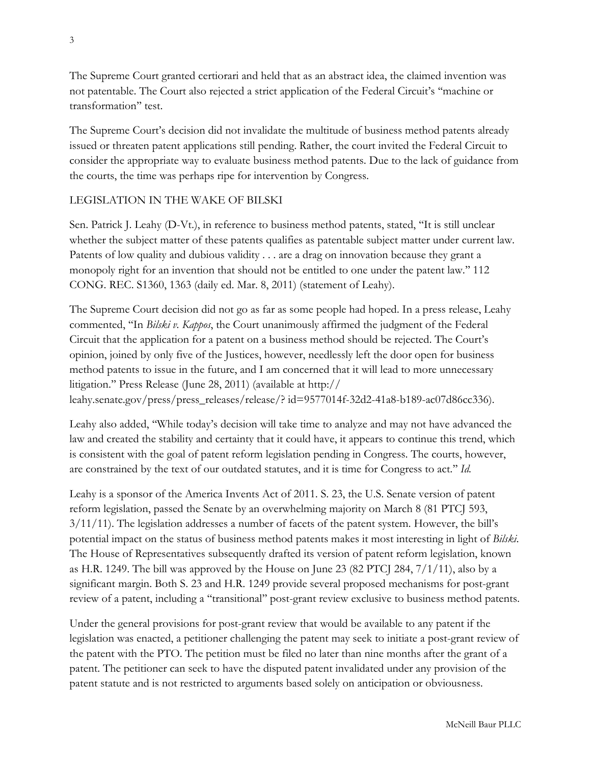The Supreme Court granted certiorari and held that as an abstract idea, the claimed invention was not patentable. The Court also rejected a strict application of the Federal Circuit's ''machine or transformation'' test.

The Supreme Court's decision did not invalidate the multitude of business method patents already issued or threaten patent applications still pending. Rather, the court invited the Federal Circuit to consider the appropriate way to evaluate business method patents. Due to the lack of guidance from the courts, the time was perhaps ripe for intervention by Congress.

### LEGISLATION IN THE WAKE OF BILSKI

Sen. Patrick J. Leahy (D-Vt.), in reference to business method patents, stated, ''It is still unclear whether the subject matter of these patents qualifies as patentable subject matter under current law. Patents of low quality and dubious validity . . . are a drag on innovation because they grant a monopoly right for an invention that should not be entitled to one under the patent law.'' 112 CONG. REC. S1360, 1363 (daily ed. Mar. 8, 2011) (statement of Leahy).

The Supreme Court decision did not go as far as some people had hoped. In a press release, Leahy commented, ''In *Bilski v. Kappos*, the Court unanimously affirmed the judgment of the Federal Circuit that the application for a patent on a business method should be rejected. The Court's opinion, joined by only five of the Justices, however, needlessly left the door open for business method patents to issue in the future, and I am concerned that it will lead to more unnecessary litigation.'' Press Release (June 28, 2011) (available at http:// leahy.senate.gov/press/press\_releases/release/? id=9577014f-32d2-41a8-b189-ac07d86cc336).

Leahy also added, ''While today's decision will take time to analyze and may not have advanced the law and created the stability and certainty that it could have, it appears to continue this trend, which is consistent with the goal of patent reform legislation pending in Congress. The courts, however, are constrained by the text of our outdated statutes, and it is time for Congress to act.'' *Id.* 

Leahy is a sponsor of the America Invents Act of 2011. S. 23, the U.S. Senate version of patent reform legislation, passed the Senate by an overwhelming majority on March 8 (81 PTCJ 593, 3/11/11). The legislation addresses a number of facets of the patent system. However, the bill's potential impact on the status of business method patents makes it most interesting in light of *Bilski*. The House of Representatives subsequently drafted its version of patent reform legislation, known as H.R. 1249. The bill was approved by the House on June 23 (82 PTCJ 284,  $7/1/11$ ), also by a significant margin. Both S. 23 and H.R. 1249 provide several proposed mechanisms for post-grant review of a patent, including a ''transitional'' post-grant review exclusive to business method patents.

Under the general provisions for post-grant review that would be available to any patent if the legislation was enacted, a petitioner challenging the patent may seek to initiate a post-grant review of the patent with the PTO. The petition must be filed no later than nine months after the grant of a patent. The petitioner can seek to have the disputed patent invalidated under any provision of the patent statute and is not restricted to arguments based solely on anticipation or obviousness.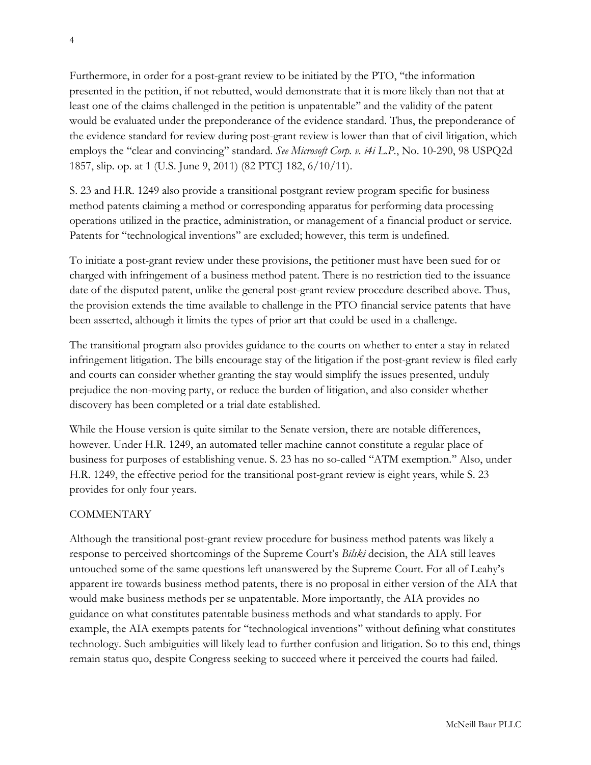Furthermore, in order for a post-grant review to be initiated by the PTO, ''the information presented in the petition, if not rebutted, would demonstrate that it is more likely than not that at least one of the claims challenged in the petition is unpatentable'' and the validity of the patent would be evaluated under the preponderance of the evidence standard. Thus, the preponderance of the evidence standard for review during post-grant review is lower than that of civil litigation, which employs the ''clear and convincing'' standard. *See Microsoft Corp. v. i4i L.P.*, No. 10-290, 98 USPQ2d 1857, slip. op. at 1 (U.S. June 9, 2011) (82 PTCJ 182, 6/10/11).

S. 23 and H.R. 1249 also provide a transitional postgrant review program specific for business method patents claiming a method or corresponding apparatus for performing data processing operations utilized in the practice, administration, or management of a financial product or service. Patents for ''technological inventions'' are excluded; however, this term is undefined.

To initiate a post-grant review under these provisions, the petitioner must have been sued for or charged with infringement of a business method patent. There is no restriction tied to the issuance date of the disputed patent, unlike the general post-grant review procedure described above. Thus, the provision extends the time available to challenge in the PTO financial service patents that have been asserted, although it limits the types of prior art that could be used in a challenge.

The transitional program also provides guidance to the courts on whether to enter a stay in related infringement litigation. The bills encourage stay of the litigation if the post-grant review is filed early and courts can consider whether granting the stay would simplify the issues presented, unduly prejudice the non-moving party, or reduce the burden of litigation, and also consider whether discovery has been completed or a trial date established.

While the House version is quite similar to the Senate version, there are notable differences, however. Under H.R. 1249, an automated teller machine cannot constitute a regular place of business for purposes of establishing venue. S. 23 has no so-called ''ATM exemption.'' Also, under H.R. 1249, the effective period for the transitional post-grant review is eight years, while S. 23 provides for only four years.

### **COMMENTARY**

Although the transitional post-grant review procedure for business method patents was likely a response to perceived shortcomings of the Supreme Court's *Bilski* decision, the AIA still leaves untouched some of the same questions left unanswered by the Supreme Court. For all of Leahy's apparent ire towards business method patents, there is no proposal in either version of the AIA that would make business methods per se unpatentable. More importantly, the AIA provides no guidance on what constitutes patentable business methods and what standards to apply. For example, the AIA exempts patents for ''technological inventions'' without defining what constitutes technology. Such ambiguities will likely lead to further confusion and litigation. So to this end, things remain status quo, despite Congress seeking to succeed where it perceived the courts had failed.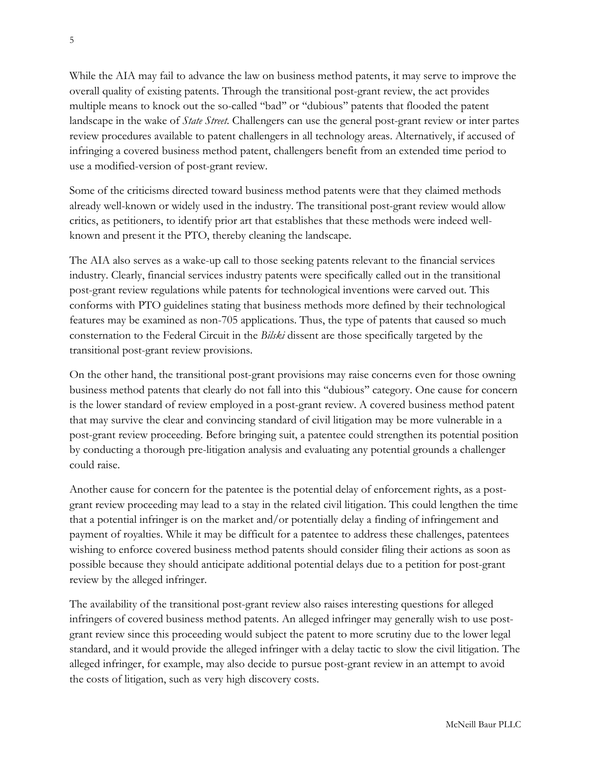While the AIA may fail to advance the law on business method patents, it may serve to improve the overall quality of existing patents. Through the transitional post-grant review, the act provides multiple means to knock out the so-called ''bad'' or ''dubious'' patents that flooded the patent landscape in the wake of *State Street*. Challengers can use the general post-grant review or inter partes review procedures available to patent challengers in all technology areas. Alternatively, if accused of infringing a covered business method patent, challengers benefit from an extended time period to use a modified-version of post-grant review.

Some of the criticisms directed toward business method patents were that they claimed methods already well-known or widely used in the industry. The transitional post-grant review would allow critics, as petitioners, to identify prior art that establishes that these methods were indeed wellknown and present it the PTO, thereby cleaning the landscape.

The AIA also serves as a wake-up call to those seeking patents relevant to the financial services industry. Clearly, financial services industry patents were specifically called out in the transitional post-grant review regulations while patents for technological inventions were carved out. This conforms with PTO guidelines stating that business methods more defined by their technological features may be examined as non-705 applications. Thus, the type of patents that caused so much consternation to the Federal Circuit in the *Bilski* dissent are those specifically targeted by the transitional post-grant review provisions.

On the other hand, the transitional post-grant provisions may raise concerns even for those owning business method patents that clearly do not fall into this ''dubious'' category. One cause for concern is the lower standard of review employed in a post-grant review. A covered business method patent that may survive the clear and convincing standard of civil litigation may be more vulnerable in a post-grant review proceeding. Before bringing suit, a patentee could strengthen its potential position by conducting a thorough pre-litigation analysis and evaluating any potential grounds a challenger could raise.

Another cause for concern for the patentee is the potential delay of enforcement rights, as a postgrant review proceeding may lead to a stay in the related civil litigation. This could lengthen the time that a potential infringer is on the market and/or potentially delay a finding of infringement and payment of royalties. While it may be difficult for a patentee to address these challenges, patentees wishing to enforce covered business method patents should consider filing their actions as soon as possible because they should anticipate additional potential delays due to a petition for post-grant review by the alleged infringer.

The availability of the transitional post-grant review also raises interesting questions for alleged infringers of covered business method patents. An alleged infringer may generally wish to use postgrant review since this proceeding would subject the patent to more scrutiny due to the lower legal standard, and it would provide the alleged infringer with a delay tactic to slow the civil litigation. The alleged infringer, for example, may also decide to pursue post-grant review in an attempt to avoid the costs of litigation, such as very high discovery costs.